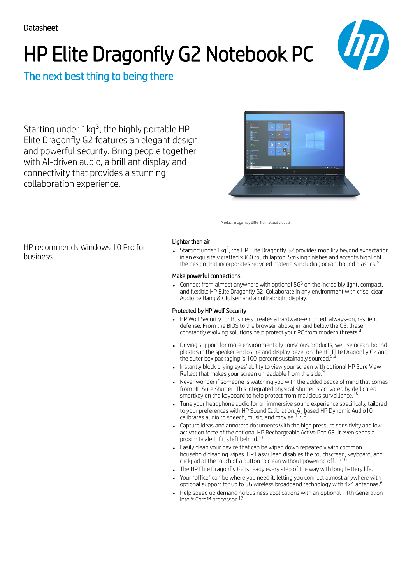# HP Elite Dragonfly G2 Notebook PC



## The next best thing to being there

Starting under  $1 \text{kg}^3$ , the highly portable HP Elite Dragonfly G2 features an elegant design and powerful security. Bring people together with AI-driven audio, a brilliant display and connectivity that provides a stunning collaboration experience.



\*Product image may differ from actual product

HP recommends Windows 10 Pro for business

## Lighter than air

Starting under  $1$ kg $^3$ , the HP Elite Dragonfly G2 provides mobility beyond expectation in an exquisitely crafted x360 touch laptop. Striking finishes and accents highlight the design that incorporates recycled materials including ocean-bound plastics. 5

## Make powerful connections

Connect from almost anywhere with optional 5G $^6$  on the incredibly light, compact, and flexible HP Elite Dragonfly G2. Collaborate in any environment with crisp, clear Audio by Bang & Olufsen and an ultrabright display.

## Protected by HP Wolf Security

- HP Wolf Security for Business creates a hardware-enforced, always-on, resilient defense. From the BIOS to the browser, above, in, and below the OS, these constantly evolving solutions help protect your PC from modern threats. 4
- Driving support for more environmentally conscious products, we use ocean-bound plastics in the speaker enclosure and display bezel on the HP Elite Dragonfly G2 and the outer box packaging is 100-percent sustainably sourced. $^{\mathrm{5,8}}$
- Instantly block prying eyes' ability to view your screen with optional HP Sure View 9 Reflect that makes your screen unreadable from the side.
- Never wonder if someone is watching you with the added peace of mind that comes from HP Sure Shutter. This integrated physical shutter is activated by dedicated smartkey on the keyboard to help protect from malicious surveillance.<sup>10</sup>
- Tune your headphone audio for an immersive sound experience specifically tailored to your preferences with HP Sound Calibration. AI-based HP Dynamic Audio10 calibrates audio to speech, music, and movies. 11,12
- Capture ideas and annotate documents with the high pressure sensitivity and low activation force of the optional HP Rechargeable Active Pen G3. It even sends a proximity alert if it's left behind. 13
- Easily clean your device that can be wiped down repeatedly with common household cleaning wipes. HP Easy Clean disables the touchscreen, keyboard, and clickpad at the touch of a button to clean without powering off. 15,16
- The HP Elite Dragonfly G2 is ready every step of the way with long battery life.
- Your "office" can be where you need it, letting you connect almost anywhere with optional support for up to 5G wireless broadband technology with 4x4 antennas. 6
- Help speed up demanding business applications with an optional 11th Generation Intel® Core™ processor. 17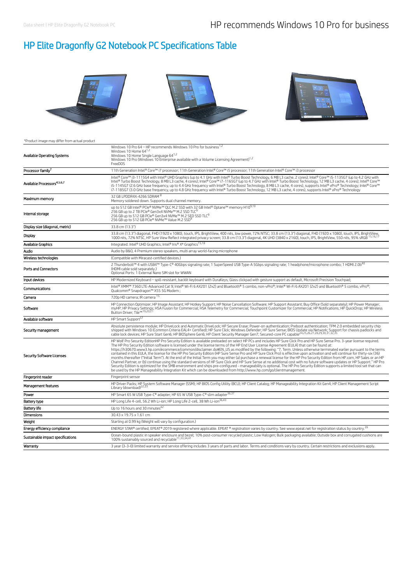# HP Elite Dragonfly G2 Notebook PC Specifications Table



#### \*Product image may differ from actual product

| Available Operating Systems             | Windows 10 Pro 64 - HP recommends Windows 10 Pro for business <sup>1,2</sup><br>Windows 10 Home 641,2<br>Windows 10 Home Single Language 64 <sup>1,2</sup><br>Windows 10 Pro (Windows 10 Enterprise available with a Volume Licensing Agreement) <sup>1,2</sup><br>FreeDOS                                                                                                                                                                                                                                                                                                                                                                                                                                                                                                                                                                                                                                                                                                                                                                                                                                                                                                                                                                                                                                                                                  |  |
|-----------------------------------------|-------------------------------------------------------------------------------------------------------------------------------------------------------------------------------------------------------------------------------------------------------------------------------------------------------------------------------------------------------------------------------------------------------------------------------------------------------------------------------------------------------------------------------------------------------------------------------------------------------------------------------------------------------------------------------------------------------------------------------------------------------------------------------------------------------------------------------------------------------------------------------------------------------------------------------------------------------------------------------------------------------------------------------------------------------------------------------------------------------------------------------------------------------------------------------------------------------------------------------------------------------------------------------------------------------------------------------------------------------------|--|
| Processor family <sup>7</sup>           | 11th Generation Intel® Core™ i7 processor; 11th Generation Intel® Core™ i5 processor; 11th Generation Intel® Core™ i3 processor                                                                                                                                                                                                                                                                                                                                                                                                                                                                                                                                                                                                                                                                                                                                                                                                                                                                                                                                                                                                                                                                                                                                                                                                                             |  |
| Available Processors <sup>4,5,6,7</sup> | Intel® Core™ i3-1115G4 with Intel® UHD Graphics (up to 4.1 GHz with Intel® Turbo Boost Technology, 6 MB L3 cache, 2 cores); Intel® Core™ i5-1135G7 (up to 4.2 GHz with<br>Intel® Turbo Boost Technology, 8 MB L3 cache, 4 cores); Intel® Core™ i7-1165G7 (up to 4.7 GHz with Intel® Turbo Boost Technology, 12 MB L3 cache, 4 cores); Intel® Core™<br>i5-1145G7 (2.6 GHz base frequency, up to 4.4 GHz frequency with Intel® Turbo Boost Technology, 8 MB L3 cache, 4 cores), supports Intel® VPro® Technology; Intel® Core™<br>i7-1185G7 (3.0 GHz base frequency, up to 4.8 GHz frequency with Intel® Turbo Boost Technology, 12 MB L3 cache, 4 cores), supports Intel® vPro® Technology                                                                                                                                                                                                                                                                                                                                                                                                                                                                                                                                                                                                                                                                   |  |
| Maximum memory                          | 32 GB LPDDR4X-4266 SDRAM 8<br>Memory soldered down. Supports dual channel memory.                                                                                                                                                                                                                                                                                                                                                                                                                                                                                                                                                                                                                                                                                                                                                                                                                                                                                                                                                                                                                                                                                                                                                                                                                                                                           |  |
| Internal storage                        | up to 512 GB Intel® PCIe® NVMe™ QLC M.2 SSD with 32 GB Intel® Optane™ memory H109,10<br>256 GB up to 2 TB PCIe® Gen3x4 NVMe™ M.2 SSD TLC <sup>9</sup><br>256 GB up to 512 GB PCIe® Gen3x4 NVMe™ M.2 SED SSD TLC <sup>9</sup><br>256 GB up to 512 GB PCIe® NVMe™ Value M.2 SSD <sup>9</sup>                                                                                                                                                                                                                                                                                                                                                                                                                                                                                                                                                                                                                                                                                                                                                                                                                                                                                                                                                                                                                                                                  |  |
| Display size (diagonal, metric)         | 33.8 cm (13.3")                                                                                                                                                                                                                                                                                                                                                                                                                                                                                                                                                                                                                                                                                                                                                                                                                                                                                                                                                                                                                                                                                                                                                                                                                                                                                                                                             |  |
| Display                                 | 33.8 cm (13.3") diagonal, FHD (1920 x 1080), touch, IPS, BrightView, 400 nits, low power, 72% NTSC; 33.8 cm (13.3") diagonal, FHD (1920 x 1080), touch, IPS, BrightView,<br>1000 nits, 72% NTSC, HP Sure View Reflect integrated                                                                                                                                                                                                                                                                                                                                                                                                                                                                                                                                                                                                                                                                                                                                                                                                                                                                                                                                                                                                                                                                                                                            |  |
| Available Graphics                      | Integrated: Intel® UHD Graphics; Intel® Iris® Xe Graphics <sup>15,18</sup>                                                                                                                                                                                                                                                                                                                                                                                                                                                                                                                                                                                                                                                                                                                                                                                                                                                                                                                                                                                                                                                                                                                                                                                                                                                                                  |  |
| Audio                                   | Audio by B&O, 4 Premium stereo speakers, multi array world-facing microphone                                                                                                                                                                                                                                                                                                                                                                                                                                                                                                                                                                                                                                                                                                                                                                                                                                                                                                                                                                                                                                                                                                                                                                                                                                                                                |  |
| Wireless technologies                   | (Compatible with Miracast-certified devices.)                                                                                                                                                                                                                                                                                                                                                                                                                                                                                                                                                                                                                                                                                                                                                                                                                                                                                                                                                                                                                                                                                                                                                                                                                                                                                                               |  |
| <b>Ports and Connectors</b>             | 2 Thunderbolt™ 4 with USB4™ Type-C® 40Gbps signaling rate; 1 SuperSpeed USB Type-A 5Gbps signaling rate; 1 headphone/microphone combo; 1 HDMI 2.0b <sup>40</sup><br>(HDMI cable sold separately.)<br>Optional Ports: 1 External Nano SIM slot for WWAN                                                                                                                                                                                                                                                                                                                                                                                                                                                                                                                                                                                                                                                                                                                                                                                                                                                                                                                                                                                                                                                                                                      |  |
| Input devices                           | HP Modernized Keyboard - spill-resistant, backlit keyboard with DuraKeys; Glass clickpad with gesture support as default, Microsoft Precision Touchpad;                                                                                                                                                                                                                                                                                                                                                                                                                                                                                                                                                                                                                                                                                                                                                                                                                                                                                                                                                                                                                                                                                                                                                                                                     |  |
| Communications                          | Intel® XMM™ 7360 LTE-Advanced Cat 9; Intel® Wi-Fi 6 AX201 (2x2) and Bluetooth® 5 combo, non-vPro®; Intel® Wi-Fi 6 AX201 (2x2) and Bluetooth® 5 combo, vPro®;<br>Qualcomm® Snapdragon™ X55 5G Modem;                                                                                                                                                                                                                                                                                                                                                                                                                                                                                                                                                                                                                                                                                                                                                                                                                                                                                                                                                                                                                                                                                                                                                         |  |
| Camera                                  | 720p HD camera: IR camera 15                                                                                                                                                                                                                                                                                                                                                                                                                                                                                                                                                                                                                                                                                                                                                                                                                                                                                                                                                                                                                                                                                                                                                                                                                                                                                                                                |  |
| Software                                | HP Connection Optimizer; HP Image Assistant; HP Hotkey Support; HP Noise Cancellation Software; HP Support Assistant; Buy Office (Sold separately); HP Power Manager;<br>myHP; HP Privacy Settings; HSA Fusion for Commercial; HSA Telemetry for Commercial; Touchpoint Customizer for Commercial; HP Notifications; HP QuickDrop; HP Wireless<br>Button Driver: Tile™19,20,                                                                                                                                                                                                                                                                                                                                                                                                                                                                                                                                                                                                                                                                                                                                                                                                                                                                                                                                                                                |  |
| Available software                      | HP Smart Support <sup>57</sup>                                                                                                                                                                                                                                                                                                                                                                                                                                                                                                                                                                                                                                                                                                                                                                                                                                                                                                                                                                                                                                                                                                                                                                                                                                                                                                                              |  |
| Security management                     | Absolute persistence module; HP DriveLock and Automatic DriveLock; HP Secure Erase; Power-on authentication; Preboot authentication; TPM 2.0 embedded security chip<br>shipped with Windows 10 (Common Criteria EAL4+ Certified); HP Sure Click; Windows Defender; HP Sure Sense; BIOS Update via Network; Support for chassis padlocks and cable lock devices; HP Sure State Center, HP Bure Sense;                                                                                                                                                                                                                                                                                                                                                                                                                                                                                                                                                                                                                                                                                                                                                                                                                                                                                                                                                        |  |
| <b>Security Software Licenses</b>       | HP Wolf Pro Security EditionHP Pro Security Edition is available preloaded on select HP PCs and includes HP Sure Click Pro and HP Sure Sense Pro. 3-year license required.<br>The HP Pro Security Edition software is licensed under the license terms of the HP End User License Agreement (EULA) that can be found at:<br>https://h30670.www3.hp.com/ecommerce/common/disclaimer.do#EN_US as modified by the following: "7. Term. Unless otherwise terminated earlier pursuant to the terms<br>contained in this EULA, the license for the HP Pro Security Edition (HP Sure Sense Pro and HP Sure Click Pro) is effective upon activation and will continue for thirty-six (36)<br>months thereafter ("Initial Term"). At the end of the Initial Term you may either (a) purchase a renewal license for the HP Pro Security Edition from HP.com, HP Sales or an HP<br>Channel Partner, or (b) continue using the standard versions of HP Sure Click and HP Sure Sense at no additional cost with no future software updates or HP Support." HP Pro<br>Security Edition is optimized for the SMB environment and ships pre-configured - manageability is optional. The HP Pro Security Edition supports a limited tool set that can<br>be used by the HP Manageability Integration Kit which can be downloaded from http://www.hp.com/go/clientmanagement. |  |
| Fingerprint reader                      | Fingerprint sensor                                                                                                                                                                                                                                                                                                                                                                                                                                                                                                                                                                                                                                                                                                                                                                                                                                                                                                                                                                                                                                                                                                                                                                                                                                                                                                                                          |  |
| Management features                     | HP Driver Packs; HP System Software Manager (SSM); HP BIOS Config Utility (BCU); HP Client Catalog; HP Manageability Integration Kit Gen4; HP Client Management Script<br>Library (download) <sup>22,23</sup>                                                                                                                                                                                                                                                                                                                                                                                                                                                                                                                                                                                                                                                                                                                                                                                                                                                                                                                                                                                                                                                                                                                                               |  |
| Power                                   | HP Smart 65 W USB Type-C® adapter; HP 65 W USB Type-C® slim adapter <sup>36,37</sup>                                                                                                                                                                                                                                                                                                                                                                                                                                                                                                                                                                                                                                                                                                                                                                                                                                                                                                                                                                                                                                                                                                                                                                                                                                                                        |  |
| Battery type                            | HP Long Life 4-cell, 56.2 Wh Li-ion; HP Long Life 2-cell, 38 Wh Li-ion <sup>36,43</sup>                                                                                                                                                                                                                                                                                                                                                                                                                                                                                                                                                                                                                                                                                                                                                                                                                                                                                                                                                                                                                                                                                                                                                                                                                                                                     |  |
| Battery life                            | Up to 16 hours and 30 minutes <sup>42</sup>                                                                                                                                                                                                                                                                                                                                                                                                                                                                                                                                                                                                                                                                                                                                                                                                                                                                                                                                                                                                                                                                                                                                                                                                                                                                                                                 |  |
| Dimensions                              | 30.43 x 19.75 x 1.61 cm                                                                                                                                                                                                                                                                                                                                                                                                                                                                                                                                                                                                                                                                                                                                                                                                                                                                                                                                                                                                                                                                                                                                                                                                                                                                                                                                     |  |
| Weight                                  | Starting at 0.99 kg (Weight will vary by configuration.)                                                                                                                                                                                                                                                                                                                                                                                                                                                                                                                                                                                                                                                                                                                                                                                                                                                                                                                                                                                                                                                                                                                                                                                                                                                                                                    |  |
| Energy efficiency compliance            | ENERGY STAR® certified; EPEAT® 2019 registered where applicable. EPEAT ® registration varies by country. See www.epeat.net for registration status by country. <sup>39</sup>                                                                                                                                                                                                                                                                                                                                                                                                                                                                                                                                                                                                                                                                                                                                                                                                                                                                                                                                                                                                                                                                                                                                                                                |  |
| Sustainable impact specifications       | Ocean-bound plastic in speaker enclosure and bezel; 10% post-consumer recycled plastic; Low Halogen; Bulk packaging available; Outside box and corrugated cushions are<br>100% sustainably sourced and recyclable <sup>11,33,34,41</sup>                                                                                                                                                                                                                                                                                                                                                                                                                                                                                                                                                                                                                                                                                                                                                                                                                                                                                                                                                                                                                                                                                                                    |  |
| Warranty                                | 3 year (3-3-0) limited warranty and service offering includes 3 years of parts and labor. Terms and conditions vary by country. Certain restrictions and exclusions apply.                                                                                                                                                                                                                                                                                                                                                                                                                                                                                                                                                                                                                                                                                                                                                                                                                                                                                                                                                                                                                                                                                                                                                                                  |  |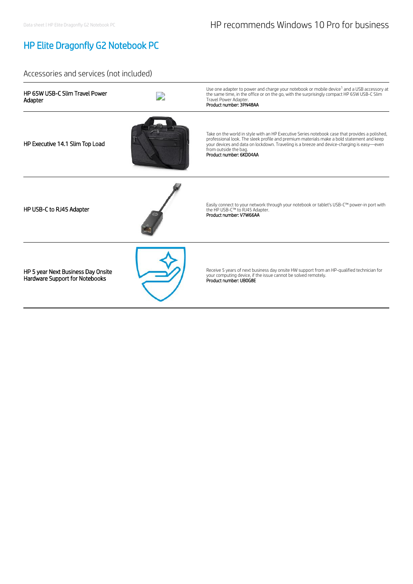# HP Elite Dragonfly G2 Notebook PC

## Accessories and services (not included)

| HP 65W USB-C Slim Travel Power<br>Adapter                            | Use one adapter to power and charge your notebook or mobile device <sup>1</sup> and a USB accessory at<br>the same time, in the office or on the go, with the surprisingly compact HP 65W USB-C Slim<br>Travel Power Adapter.<br>Product number: 3PN48AA                                                                                     |
|----------------------------------------------------------------------|----------------------------------------------------------------------------------------------------------------------------------------------------------------------------------------------------------------------------------------------------------------------------------------------------------------------------------------------|
| HP Executive 14.1 Slim Top Load                                      | Take on the world in style with an HP Executive Series notebook case that provides a polished,<br>professional look. The sleek profile and premium materials make a bold statement and keep<br>your devices and data on lockdown. Traveling is a breeze and device-charging is easy-even<br>from outside the bag.<br>Product number: 6KD04AA |
| HP USB-C to RJ45 Adapter                                             | Easily connect to your network through your notebook or tablet's USB-C™ power-in port with<br>the HP USB-C™ to RJ45 Adapter.<br>Product number: V7W66AA                                                                                                                                                                                      |
| HP 5 year Next Business Day Onsite<br>Hardware Support for Notebooks | Receive 5 years of next business day onsite HW support from an HP-qualified technician for<br>your computing device, if the issue cannot be solved remotely.<br>Product number: UB0G8E                                                                                                                                                       |
|                                                                      |                                                                                                                                                                                                                                                                                                                                              |